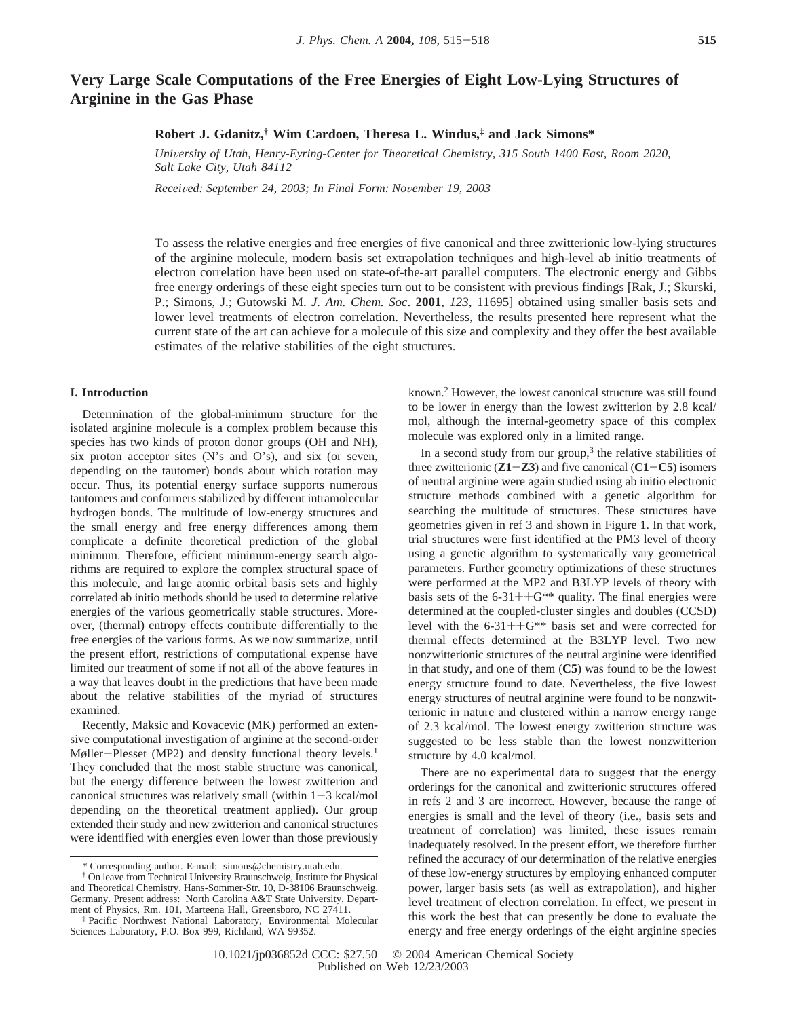# **Very Large Scale Computations of the Free Energies of Eight Low-Lying Structures of Arginine in the Gas Phase**

## **Robert J. Gdanitz,† Wim Cardoen, Theresa L. Windus,‡ and Jack Simons\***

*University of Utah, Henry-Eyring-Center for Theoretical Chemistry, 315 South 1400 East, Room 2020, Salt Lake City, Utah 84112*

*Recei*V*ed: September 24, 2003; In Final Form: No*V*ember 19, 2003*

To assess the relative energies and free energies of five canonical and three zwitterionic low-lying structures of the arginine molecule, modern basis set extrapolation techniques and high-level ab initio treatments of electron correlation have been used on state-of-the-art parallel computers. The electronic energy and Gibbs free energy orderings of these eight species turn out to be consistent with previous findings [Rak, J.; Skurski, P.; Simons, J.; Gutowski M. *J. Am. Chem. Soc*. **2001**, *123*, 11695] obtained using smaller basis sets and lower level treatments of electron correlation. Nevertheless, the results presented here represent what the current state of the art can achieve for a molecule of this size and complexity and they offer the best available estimates of the relative stabilities of the eight structures.

### **I. Introduction**

Determination of the global-minimum structure for the isolated arginine molecule is a complex problem because this species has two kinds of proton donor groups (OH and NH), six proton acceptor sites (N's and O's), and six (or seven, depending on the tautomer) bonds about which rotation may occur. Thus, its potential energy surface supports numerous tautomers and conformers stabilized by different intramolecular hydrogen bonds. The multitude of low-energy structures and the small energy and free energy differences among them complicate a definite theoretical prediction of the global minimum. Therefore, efficient minimum-energy search algorithms are required to explore the complex structural space of this molecule, and large atomic orbital basis sets and highly correlated ab initio methods should be used to determine relative energies of the various geometrically stable structures. Moreover, (thermal) entropy effects contribute differentially to the free energies of the various forms. As we now summarize, until the present effort, restrictions of computational expense have limited our treatment of some if not all of the above features in a way that leaves doubt in the predictions that have been made about the relative stabilities of the myriad of structures examined.

Recently, Maksic and Kovacevic (MK) performed an extensive computational investigation of arginine at the second-order Møller-Plesset (MP2) and density functional theory levels.<sup>1</sup> They concluded that the most stable structure was canonical, but the energy difference between the lowest zwitterion and canonical structures was relatively small (within  $1-3$  kcal/mol depending on the theoretical treatment applied). Our group extended their study and new zwitterion and canonical structures were identified with energies even lower than those previously

known.2 However, the lowest canonical structure was still found to be lower in energy than the lowest zwitterion by 2.8 kcal/ mol, although the internal-geometry space of this complex molecule was explored only in a limited range.

In a second study from our group, $3$  the relative stabilities of three zwitterionic (**Z1**-**Z3**) and five canonical (**C1**-**C5**) isomers of neutral arginine were again studied using ab initio electronic structure methods combined with a genetic algorithm for searching the multitude of structures. These structures have geometries given in ref 3 and shown in Figure 1. In that work, trial structures were first identified at the PM3 level of theory using a genetic algorithm to systematically vary geometrical parameters. Further geometry optimizations of these structures were performed at the MP2 and B3LYP levels of theory with basis sets of the  $6-31++G^{**}$  quality. The final energies were determined at the coupled-cluster singles and doubles (CCSD) level with the  $6-31++G^{**}$  basis set and were corrected for thermal effects determined at the B3LYP level. Two new nonzwitterionic structures of the neutral arginine were identified in that study, and one of them (**C5**) was found to be the lowest energy structure found to date. Nevertheless, the five lowest energy structures of neutral arginine were found to be nonzwitterionic in nature and clustered within a narrow energy range of 2.3 kcal/mol. The lowest energy zwitterion structure was suggested to be less stable than the lowest nonzwitterion structure by 4.0 kcal/mol.

There are no experimental data to suggest that the energy orderings for the canonical and zwitterionic structures offered in refs 2 and 3 are incorrect. However, because the range of energies is small and the level of theory (i.e., basis sets and treatment of correlation) was limited, these issues remain inadequately resolved. In the present effort, we therefore further refined the accuracy of our determination of the relative energies of these low-energy structures by employing enhanced computer power, larger basis sets (as well as extrapolation), and higher level treatment of electron correlation. In effect, we present in this work the best that can presently be done to evaluate the energy and free energy orderings of the eight arginine species

<sup>\*</sup> Corresponding author. E-mail: simons@chemistry.utah.edu.

<sup>†</sup> On leave from Technical University Braunschweig, Institute for Physical and Theoretical Chemistry, Hans-Sommer-Str. 10, D-38106 Braunschweig, Germany. Present address: North Carolina A&T State University, Department of Physics, Rm. 101, Marteena Hall, Greensboro, NC 27411.

<sup>‡</sup> Pacific Northwest National Laboratory, Environmental Molecular Sciences Laboratory, P.O. Box 999, Richland, WA 99352.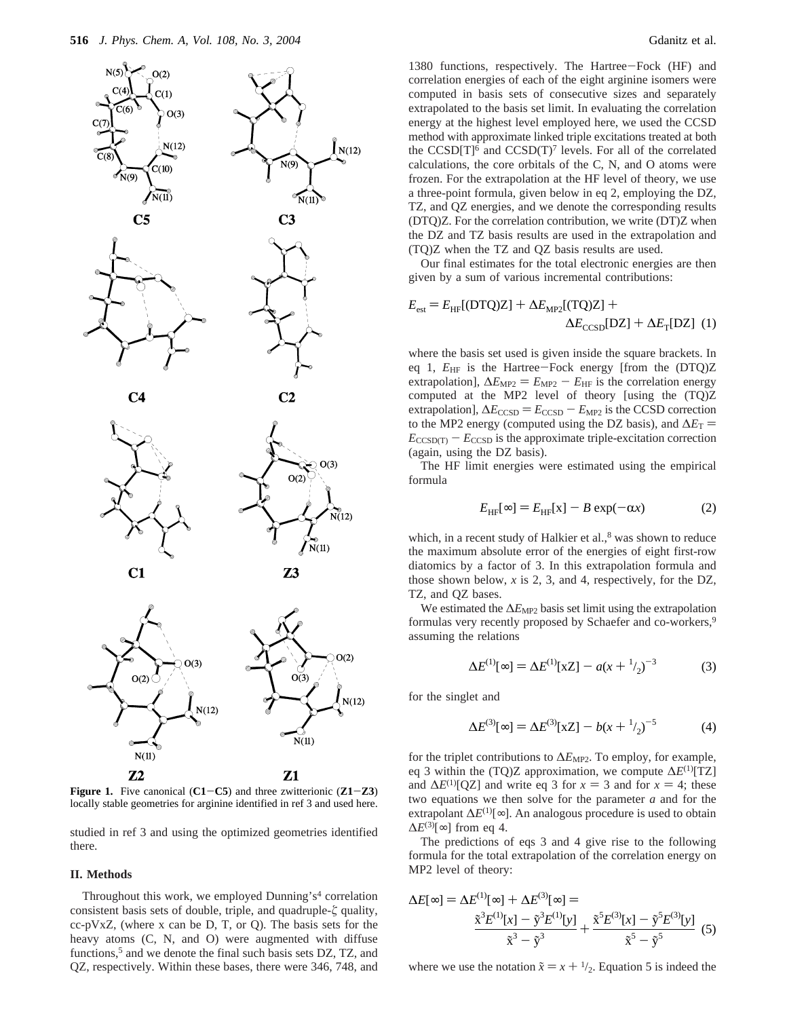

**Figure 1.** Five canonical (**C1**-**C5**) and three zwitterionic (**Z1**-**Z3**) locally stable geometries for arginine identified in ref 3 and used here.

studied in ref 3 and using the optimized geometries identified there.

#### **II. Methods**

Throughout this work, we employed Dunning's<sup>4</sup> correlation consistent basis sets of double, triple, and quadruple-*ú* quality, cc-pVxZ, (where x can be D, T, or Q). The basis sets for the heavy atoms  $(C, N, and O)$  were augmented with diffuse functions,<sup>5</sup> and we denote the final such basis sets  $DZ$ , TZ, and QZ, respectively. Within these bases, there were 346, 748, and

1380 functions, respectively. The Hartree-Fock (HF) and correlation energies of each of the eight arginine isomers were computed in basis sets of consecutive sizes and separately extrapolated to the basis set limit. In evaluating the correlation energy at the highest level employed here, we used the CCSD method with approximate linked triple excitations treated at both the CCSD[T]<sup>6</sup> and CCSD(T)<sup>7</sup> levels. For all of the correlated calculations, the core orbitals of the C, N, and O atoms were frozen. For the extrapolation at the HF level of theory, we use a three-point formula, given below in eq 2, employing the DZ, TZ, and QZ energies, and we denote the corresponding results (DTQ)Z. For the correlation contribution, we write (DT)Z when the DZ and TZ basis results are used in the extrapolation and (TQ)Z when the TZ and QZ basis results are used.

Our final estimates for the total electronic energies are then given by a sum of various incremental contributions:

$$
E_{\text{est}} = E_{\text{HF}}[\text{(DTQ)Z}] + \Delta E_{\text{MP2}}[\text{(TQ)Z}] + \Delta E_{\text{CCSD}}[\text{DZ}] + \Delta E_{\text{T}}[\text{DZ}] \tag{1}
$$

where the basis set used is given inside the square brackets. In eq 1,  $E_{HF}$  is the Hartree-Fock energy [from the (DTQ)Z extrapolation],  $\Delta E_{\text{MP2}} = E_{\text{MP2}} - E_{\text{HF}}$  is the correlation energy computed at the MP2 level of theory [using the (TQ)Z extrapolation],  $\Delta E_{\text{CCSD}} = E_{\text{CCSD}} - E_{\text{MP2}}$  is the CCSD correction to the MP2 energy (computed using the DZ basis), and  $\Delta E_T$  =  $E_{\text{CCSD(T)}} - E_{\text{CCSD}}$  is the approximate triple-excitation correction (again, using the DZ basis).

The HF limit energies were estimated using the empirical formula

$$
E_{\text{HF}}[\infty] = E_{\text{HF}}[x] - B \exp(-\alpha x) \tag{2}
$$

which, in a recent study of Halkier et al., $8$  was shown to reduce the maximum absolute error of the energies of eight first-row diatomics by a factor of 3. In this extrapolation formula and those shown below, *x* is 2, 3, and 4, respectively, for the DZ, TZ, and QZ bases.

We estimated the ∆*E*<sub>MP2</sub> basis set limit using the extrapolation formulas very recently proposed by Schaefer and co-workers,<sup>9</sup> assuming the relations

$$
\Delta E^{(1)}[\infty] = \Delta E^{(1)}[xZ] - a(x + \frac{1}{2})^{-3}
$$
 (3)

for the singlet and

$$
\Delta E^{(3)}[\infty] = \Delta E^{(3)}[xZ] - b(x + \frac{1}{2})^{-5}
$$
 (4)

for the triplet contributions to  $\Delta E_{\text{MP2}}$ . To employ, for example, eq 3 within the (TQ)Z approximation, we compute ∆*E*(1)[TZ] and  $\Delta E^{(1)}[QZ]$  and write eq 3 for  $x = 3$  and for  $x = 4$ ; these two equations we then solve for the parameter *a* and for the extrapolant  $\Delta E^{(1)}[\infty]$ . An analogous procedure is used to obtain  $\Delta E^{(3)}[\infty]$  from eq 4.

The predictions of eqs 3 and 4 give rise to the following formula for the total extrapolation of the correlation energy on MP2 level of theory:

$$
\Delta E[\infty] = \Delta E^{(1)}[\infty] + \Delta E^{(3)}[\infty] =
$$
  

$$
\frac{\tilde{x}^3 E^{(1)}[x] - \tilde{y}^3 E^{(1)}[y]}{\tilde{x}^3 - \tilde{y}^3} + \frac{\tilde{x}^5 E^{(3)}[x] - \tilde{y}^5 E^{(3)}[y]}{\tilde{x}^5 - \tilde{y}^5}
$$
(5)

where we use the notation  $\tilde{x} = x + \frac{1}{2}$ . Equation 5 is indeed the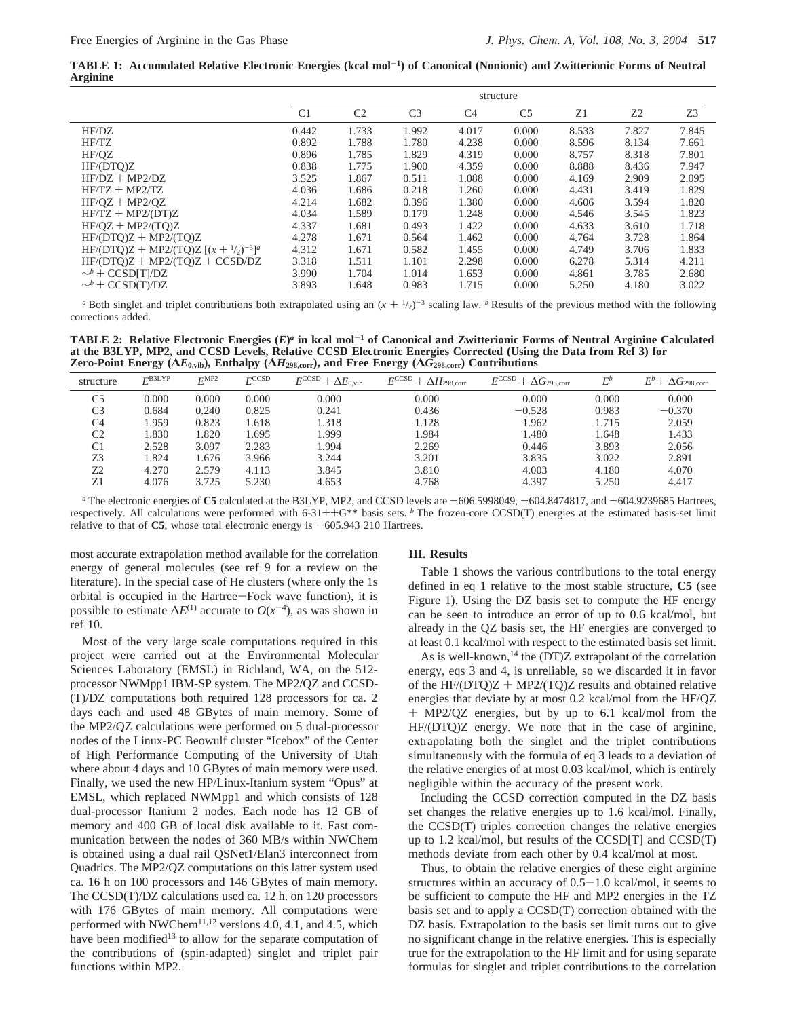**TABLE 1: Accumulated Relative Electronic Energies (kcal mol**-**1) of Canonical (Nonionic) and Zwitterionic Forms of Neutral Arginine**

|                                                    | structure      |                |                |                |                |       |       |       |  |
|----------------------------------------------------|----------------|----------------|----------------|----------------|----------------|-------|-------|-------|--|
|                                                    | C <sub>1</sub> | C <sub>2</sub> | C <sub>3</sub> | C <sub>4</sub> | C <sub>5</sub> | Z1    | Z2    | Z3    |  |
| HF/DZ                                              | 0.442          | 1.733          | 1.992          | 4.017          | 0.000          | 8.533 | 7.827 | 7.845 |  |
| HF/TZ                                              | 0.892          | 1.788          | 1.780          | 4.238          | 0.000          | 8.596 | 8.134 | 7.661 |  |
| HF/OZ                                              | 0.896          | 1.785          | 1.829          | 4.319          | 0.000          | 8.757 | 8.318 | 7.801 |  |
| HF/ (DTO)Z                                         | 0.838          | 1.775          | 1.900          | 4.359          | 0.000          | 8.888 | 8.436 | 7.947 |  |
| $HF/DZ + MP2/DZ$                                   | 3.525          | 1.867          | 0.511          | 1.088          | 0.000          | 4.169 | 2.909 | 2.095 |  |
| $HF/TZ + MP2/TZ$                                   | 4.036          | 1.686          | 0.218          | 1.260          | 0.000          | 4.431 | 3.419 | 1.829 |  |
| $HF/OZ + MP2/OZ$                                   | 4.214          | 1.682          | 0.396          | 1.380          | 0.000          | 4.606 | 3.594 | 1.820 |  |
| $HF/TZ + MP2/(DT)Z$                                | 4.034          | 1.589          | 0.179          | 1.248          | 0.000          | 4.546 | 3.545 | 1.823 |  |
| $HF/OZ + MP2/(TO)Z$                                | 4.337          | 1.681          | 0.493          | 1.422          | 0.000          | 4.633 | 3.610 | 1.718 |  |
| $HF/ (DTQ)Z + MP2/ (TQ)Z$                          | 4.278          | 1.671          | 0.564          | 1.462          | 0.000          | 4.764 | 3.728 | 1.864 |  |
| HF/(DTQ)Z + MP2/(TQ)Z $[(x + \frac{1}{2})^{-3}]^a$ | 4.312          | 1.671          | 0.582          | 1.455          | 0.000          | 4.749 | 3.706 | 1.833 |  |
| $HF/ (DTQ)Z + MP2/ (TQ)Z + CCSD/DZ$                | 3.318          | 1.511          | 1.101          | 2.298          | 0.000          | 6.278 | 5.314 | 4.211 |  |
| $\sim^b$ + CCSD[T]/DZ                              | 3.990          | 1.704          | 1.014          | 1.653          | 0.000          | 4.861 | 3.785 | 2.680 |  |
| $\sim^b$ + CCSD(T)/DZ                              | 3.893          | 1.648          | 0.983          | 1.715          | 0.000          | 5.250 | 4.180 | 3.022 |  |

*a* Both singlet and triplet contributions both extrapolated using an  $(x + \frac{1}{2})^{-3}$  scaling law. *b* Results of the previous method with the following rections added corrections added.

**TABLE 2: Relative Electronic Energies (***E***)***<sup>a</sup>* **in kcal mol**-**<sup>1</sup> of Canonical and Zwitterionic Forms of Neutral Arginine Calculated at the B3LYP, MP2, and CCSD Levels, Relative CCSD Electronic Energies Corrected (Using the Data from Ref 3) for Zero-Point Energy (∆***E***0,vib), Enthalpy (∆***H***298,corr), and Free Energy (∆***G***298,corr) Contributions**

| structure      | $E^{\text{BJLYP}}$ | FMP2  | FCCSD | $E^{\text{CCSD}} + \Delta E_{0,\text{vib}}$ | $E^{\text{CCSD}} + \Delta H_{\text{298,corr}}$ | $E^{\text{CCSD}} + \Delta G_{\text{298,corr}}$ | $E^b$ | $E^b+\Delta G_{\rm 298,corr}$ |
|----------------|--------------------|-------|-------|---------------------------------------------|------------------------------------------------|------------------------------------------------|-------|-------------------------------|
| C5             | 0.000              | 0.000 | 0.000 | 0.000                                       | 0.000                                          | 0.000                                          | 0.000 | 0.000                         |
| C <sub>3</sub> | 0.684              | 0.240 | 0.825 | 0.241                                       | 0.436                                          | $-0.528$                                       | 0.983 | $-0.370$                      |
| C <sub>4</sub> | .959               | 0.823 | .618  | 1.318                                       | 1.128                                          | 1.962                                          | 1.715 | 2.059                         |
| C2             | 1.830              | 1.820 | .695  | 1.999                                       | 1.984                                          | 1.480                                          | 1.648 | 1.433                         |
| C <sub>1</sub> | 2.528              | 3.097 | 2.283 | 1.994                                       | 2.269                                          | 0.446                                          | 3.893 | 2.056                         |
| Z3             | 1.824              | 1.676 | 3.966 | 3.244                                       | 3.201                                          | 3.835                                          | 3.022 | 2.891                         |
| Z <sub>2</sub> | 4.270              | 2.579 | 4.113 | 3.845                                       | 3.810                                          | 4.003                                          | 4.180 | 4.070                         |
| $Z_1$          | 4.076              | 3.725 | 5.230 | 4.653                                       | 4.768                                          | 4.397                                          | 5.250 | 4.417                         |

*a* The electronic energies of C5 calculated at the B3LYP, MP2, and CCSD levels are  $-606.5998049$ ,  $-604.8474817$ , and  $-604.9239685$  Hartrees, respectively. All calculations were performed with 6-31++G\*\* basis sets. *<sup>b</sup>* The frozen-core CCSD(T) energies at the estimated basis-set limit relative to that of  $C5$ , whose total electronic energy is  $-605.943$  210 Hartrees.

most accurate extrapolation method available for the correlation energy of general molecules (see ref 9 for a review on the literature). In the special case of He clusters (where only the 1s orbital is occupied in the Hartree-Fock wave function), it is possible to estimate  $\Delta E^{(1)}$  accurate to  $O(x^{-4})$ , as was shown in ref 10.

Most of the very large scale computations required in this project were carried out at the Environmental Molecular Sciences Laboratory (EMSL) in Richland, WA, on the 512 processor NWMpp1 IBM-SP system. The MP2/QZ and CCSD- (T)/DZ computations both required 128 processors for ca. 2 days each and used 48 GBytes of main memory. Some of the MP2/QZ calculations were performed on 5 dual-processor nodes of the Linux-PC Beowulf cluster "Icebox" of the Center of High Performance Computing of the University of Utah where about 4 days and 10 GBytes of main memory were used. Finally, we used the new HP/Linux-Itanium system "Opus" at EMSL, which replaced NWMpp1 and which consists of 128 dual-processor Itanium 2 nodes. Each node has 12 GB of memory and 400 GB of local disk available to it. Fast communication between the nodes of 360 MB/s within NWChem is obtained using a dual rail QSNet1/Elan3 interconnect from Quadrics. The MP2/QZ computations on this latter system used ca. 16 h on 100 processors and 146 GBytes of main memory. The CCSD(T)/DZ calculations used ca. 12 h. on 120 processors with 176 GBytes of main memory. All computations were performed with NWChem<sup>11,12</sup> versions 4.0, 4.1, and 4.5, which have been modified<sup>13</sup> to allow for the separate computation of the contributions of (spin-adapted) singlet and triplet pair functions within MP2.

#### **III. Results**

Table 1 shows the various contributions to the total energy defined in eq 1 relative to the most stable structure, **C5** (see Figure 1). Using the DZ basis set to compute the HF energy can be seen to introduce an error of up to 0.6 kcal/mol, but already in the QZ basis set, the HF energies are converged to at least 0.1 kcal/mol with respect to the estimated basis set limit.

As is well-known,<sup>14</sup> the (DT)Z extrapolant of the correlation energy, eqs 3 and 4, is unreliable, so we discarded it in favor of the HF/( $DTQ$ ) $Z + MP2$ /( $TQ$ ) $Z$  results and obtained relative energies that deviate by at most 0.2 kcal/mol from the HF/QZ + MP2/QZ energies, but by up to 6.1 kcal/mol from the HF/(DTQ)Z energy. We note that in the case of arginine, extrapolating both the singlet and the triplet contributions simultaneously with the formula of eq 3 leads to a deviation of the relative energies of at most 0.03 kcal/mol, which is entirely negligible within the accuracy of the present work.

Including the CCSD correction computed in the DZ basis set changes the relative energies up to 1.6 kcal/mol. Finally, the CCSD(T) triples correction changes the relative energies up to 1.2 kcal/mol, but results of the CCSD[T] and CCSD(T) methods deviate from each other by 0.4 kcal/mol at most.

Thus, to obtain the relative energies of these eight arginine structures within an accuracy of  $0.5-1.0$  kcal/mol, it seems to be sufficient to compute the HF and MP2 energies in the TZ basis set and to apply a CCSD(T) correction obtained with the DZ basis. Extrapolation to the basis set limit turns out to give no significant change in the relative energies. This is especially true for the extrapolation to the HF limit and for using separate formulas for singlet and triplet contributions to the correlation